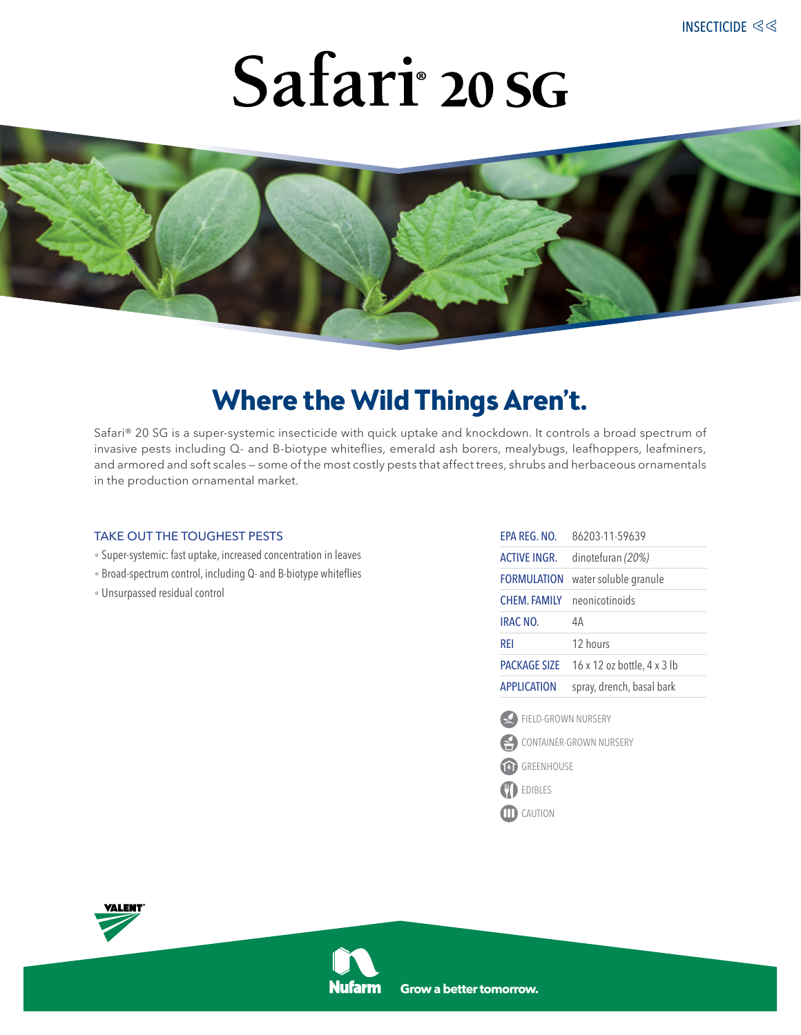# Safari<sup>°</sup> 20 SG



### **Where the Wild Things Aren't.**

Safari® 20 SG is a super-systemic insecticide with quick uptake and knockdown. It controls a broad spectrum of invasive pests including Q- and B-biotype whiteflies, emerald ash borers, mealybugs, leafhoppers, leafminers, and armored and soft scales — some of the most costly pests that affect trees, shrubs and herbaceous ornamentals in the production ornamental market.

#### take out the toughest pests

- Super-systemic: fast uptake, increased concentration in leaves
- Broad-spectrum control, including Q- and B-biotype whiteflies
- Unsurpassed residual control

| <b>APPLICATION</b>  | spray, drench, basal bark   |
|---------------------|-----------------------------|
| <b>PACKAGE SIZE</b> | 16 x 12 oz bottle, 4 x 3 lb |
| rfi                 | 12 hours                    |
| <b>IRAC NO.</b>     | 4A                          |
| CHFM. FAMIIY        | neonicotinoids              |
| <b>FORMULATION</b>  | water soluble granule       |
| <b>ACTIVE INGR.</b> | dinotefuran (20%)           |
| FPA RFG. NO.        | 86203-11-59639              |

FIELD-GROWN NURSERY



- GREENHOUSE
- **DEDIBLES**
- **CAUTION**